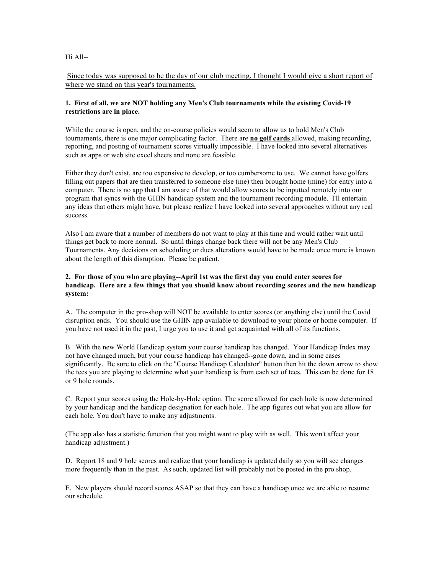Hi All--

Since today was supposed to be the day of our club meeting, I thought I would give a short report of where we stand on this year's tournaments.

## **1. First of all, we are NOT holding any Men's Club tournaments while the existing Covid-19 restrictions are in place.**

While the course is open, and the on-course policies would seem to allow us to hold Men's Club tournaments, there is one major complicating factor. There are **no golf cards** allowed, making recording, reporting, and posting of tournament scores virtually impossible. I have looked into several alternatives such as apps or web site excel sheets and none are feasible.

Either they don't exist, are too expensive to develop, or too cumbersome to use. We cannot have golfers filling out papers that are then transferred to someone else (me) then brought home (mine) for entry into a computer. There is no app that I am aware of that would allow scores to be inputted remotely into our program that syncs with the GHIN handicap system and the tournament recording module. I'll entertain any ideas that others might have, but please realize I have looked into several approaches without any real success.

Also I am aware that a number of members do not want to play at this time and would rather wait until things get back to more normal. So until things change back there will not be any Men's Club Tournaments. Any decisions on scheduling or dues alterations would have to be made once more is known about the length of this disruption. Please be patient.

## **2. For those of you who are playing--April 1st was the first day you could enter scores for handicap. Here are a few things that you should know about recording scores and the new handicap system:**

A. The computer in the pro-shop will NOT be available to enter scores (or anything else) until the Covid disruption ends. You should use the GHIN app available to download to your phone or home computer. If you have not used it in the past, I urge you to use it and get acquainted with all of its functions.

B. With the new World Handicap system your course handicap has changed. Your Handicap Index may not have changed much, but your course handicap has changed--gone down, and in some cases significantly. Be sure to click on the "Course Handicap Calculator" button then hit the down arrow to show the tees you are playing to determine what your handicap is from each set of tees. This can be done for 18 or 9 hole rounds.

C. Report your scores using the Hole-by-Hole option. The score allowed for each hole is now determined by your handicap and the handicap designation for each hole. The app figures out what you are allow for each hole. You don't have to make any adjustments.

(The app also has a statistic function that you might want to play with as well. This won't affect your handicap adjustment.)

D. Report 18 and 9 hole scores and realize that your handicap is updated daily so you will see changes more frequently than in the past. As such, updated list will probably not be posted in the pro shop.

E. New players should record scores ASAP so that they can have a handicap once we are able to resume our schedule.